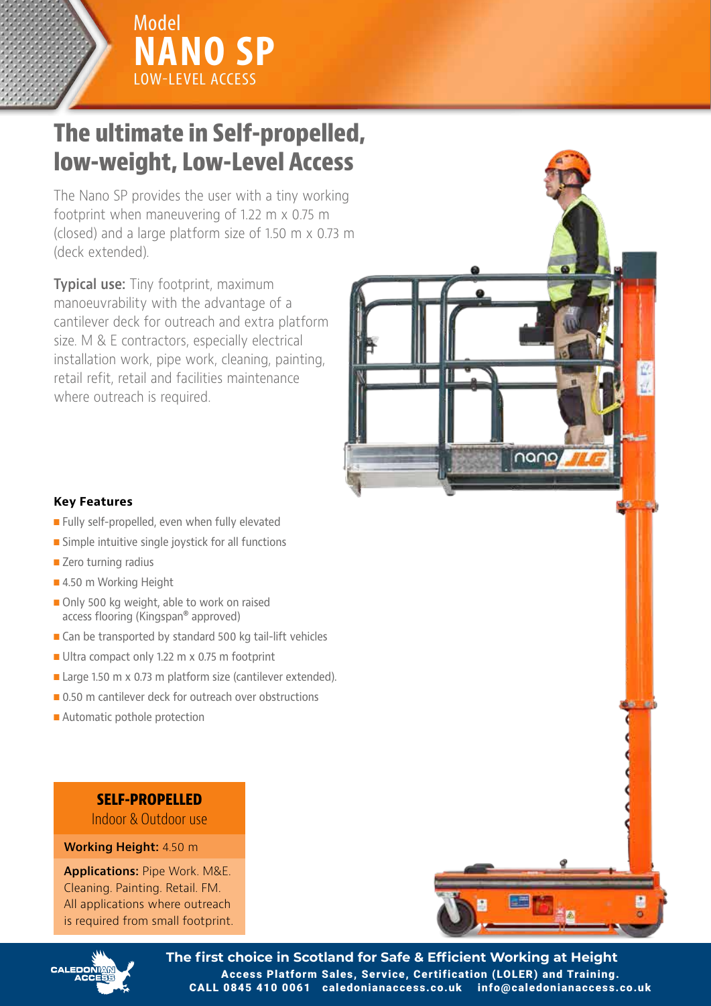

Model

Model

# **Specifications low-weight, Low-Level Access The ultimate in Self-propelled,**

**NANO SP**

Model<br>**NANO SP** 

LOW-LEVEL ACCESS

LOWNING

The Nano SP provides the user with a tiny working footprint when maneuvering of 1.22 m x 0.75 m  $\frac{1}{2}$ (closed) and a large platform size of 1.50 m  $\times$  0.73 m (deck extended).

**Typical use:** Tiny footprint, maximum Maimum gradient for operation: 0 degrees manoeuvrability with the advantage of a cantilever deck for outreach and extra platform  $\|\cdot\|$ size. M & E contractors, especially electrical Drive speed max.: 3.0 KpH installation work, pipe work, cleaning, painting, retail refit, retail and facilities maintenance where outreach is required.

Power Sound Level: less than 70 Dba



- Fully self-propelled, even when fully elevated
- $\blacksquare$  Simple intuitive single joystick for all functions
- $\blacksquare$  Zero turning radius
- 4.50 m Working Height
- Output: 24V DC, 7/8A access flooring (Kingspan® approved)  $\blacksquare$  Only 500 kg weight, able to work on raised
- $\blacksquare$  Can be transported by standard 500 kg tail-lift vehicles
- Ultra compact only 1.22 m x 0.75 m footprint
- Large 1.50 m x 0.73 m platform size (cantilever extended).
- $\Box$  0.50 m cantilever deck for outreach over obstructions
- Automatic pothole protection

# **SELF-PROPELLED**

Indoor & Outdoor use

## **IMPORTANGING Height:** 4.50 m

JLG is continually researching and developing products and reserves the right to make modifications without prior notice. All data in this document **is indications:** Pipe Work. M&E. The additions may change to meet country standards or with the addition of the a Cleaning. Painting. Retail. FM. All applications where outreach is required from small footprint.



n Fail-safe hydraulic circuit complete with a state of the complete with a state of the complete with a state of the complete with a state of the complete with a state of the complete with a state of the complete with a st

n Automatic pothole protection on elevation on elevation on elevation on elevation on elevation on elevation o n Tilt sensor complete with alarm and cut-out n Automatic basket load sensing, complete

n Automatic elevated drive-speed reduction n Emergency descent from basket and

n Audible ascent and descent and descent and descent drive alarming the second state and descent and descent a

nano,

n Automatic dynamic parking brake and the parking brake and the parking brake and the parking brake and the parking brake and the parking brake and the parking brake and the parking brake and the parking brake and the park

check valve on lift cylinder

with alarm and cut-out

n Amber flashing beacon

 $\sqrt{ }$ 



**Example 2.1 The first choice in Scotland for Safe & Efficient Working at Height** Access Platform Sales, Service, Certification (LOLER) and Training. CALL 0845 410 0061 caledonianaccess.co.uk info@caledonianaccess.co.uk